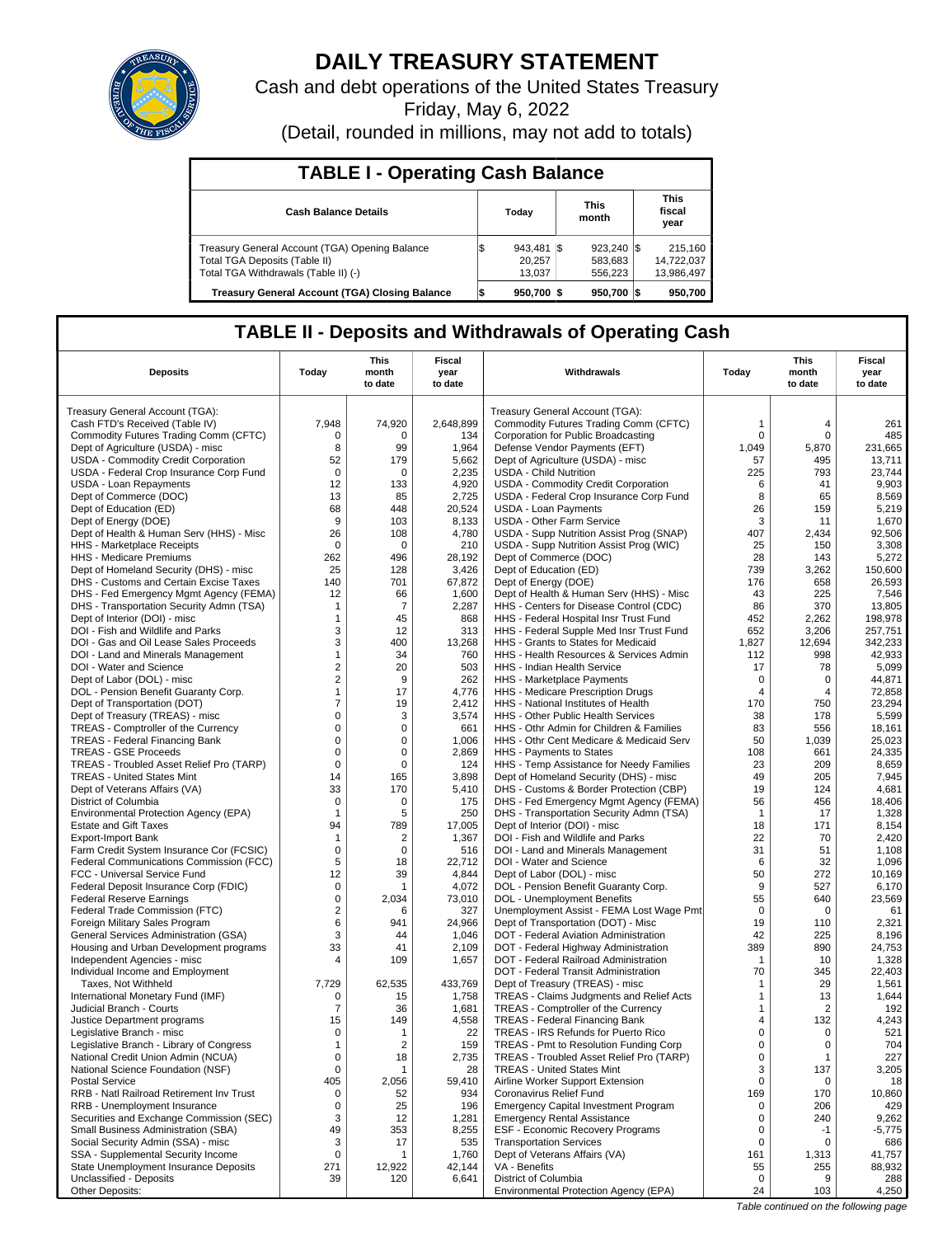

# **DAILY TREASURY STATEMENT**

Cash and debt operations of the United States Treasury Friday, May 6, 2022

(Detail, rounded in millions, may not add to totals)

| <b>TABLE I - Operating Cash Balance</b>                                                                                 |                                  |  |                                             |  |                                     |  |  |  |  |
|-------------------------------------------------------------------------------------------------------------------------|----------------------------------|--|---------------------------------------------|--|-------------------------------------|--|--|--|--|
| <b>Cash Balance Details</b>                                                                                             | Today                            |  | <b>This</b><br>month                        |  | <b>This</b><br>fiscal<br>year       |  |  |  |  |
| Treasury General Account (TGA) Opening Balance<br>Total TGA Deposits (Table II)<br>Total TGA Withdrawals (Table II) (-) | $943,481$ \$<br>20.257<br>13,037 |  | $923,240$ $\sqrt{\$}$<br>583,683<br>556,223 |  | 215,160<br>14,722,037<br>13,986,497 |  |  |  |  |
| <b>Treasury General Account (TGA) Closing Balance</b>                                                                   | 950.700 \$                       |  | $950.700$ S                                 |  | 950.700                             |  |  |  |  |

## **TABLE II - Deposits and Withdrawals of Operating Cash**

| <b>Deposits</b>                                                               | Today             | This<br>month<br>to date | Fiscal<br>year<br>to date | Withdrawals                                                                       | Today            | <b>This</b><br>month<br>to date | Fiscal<br>year<br>to date |
|-------------------------------------------------------------------------------|-------------------|--------------------------|---------------------------|-----------------------------------------------------------------------------------|------------------|---------------------------------|---------------------------|
| Treasury General Account (TGA):                                               |                   |                          |                           | Treasury General Account (TGA):                                                   |                  |                                 |                           |
| Cash FTD's Received (Table IV)                                                | 7,948             | 74,920                   | 2,648,899                 | Commodity Futures Trading Comm (CFTC)                                             | $\mathbf{1}$     | 4                               | 261                       |
| Commodity Futures Trading Comm (CFTC)                                         | 0                 | 0                        | 134                       | Corporation for Public Broadcasting                                               | $\mathbf 0$      | $\Omega$                        | 485                       |
| Dept of Agriculture (USDA) - misc                                             | 8                 | 99                       | 1,964                     | Defense Vendor Payments (EFT)                                                     | 1,049            | 5,870                           | 231.665                   |
| USDA - Commodity Credit Corporation                                           | 52                | 179                      | 5,662                     | Dept of Agriculture (USDA) - misc                                                 | 57               | 495                             | 13,711                    |
| USDA - Federal Crop Insurance Corp Fund                                       | $\mathbf 0$       | $\Omega$                 | 2,235                     | <b>USDA - Child Nutrition</b>                                                     | 225              | 793                             | 23,744                    |
| USDA - Loan Repayments                                                        | 12                | 133                      | 4,920                     | USDA - Commodity Credit Corporation                                               | 6                | 41                              | 9,903                     |
| Dept of Commerce (DOC)<br>Dept of Education (ED)                              | 13<br>68          | 85<br>448                | 2,725<br>20,524           | USDA - Federal Crop Insurance Corp Fund<br>USDA - Loan Payments                   | 8<br>26          | 65<br>159                       | 8,569<br>5,219            |
| Dept of Energy (DOE)                                                          | 9                 | 103                      | 8,133                     | <b>USDA - Other Farm Service</b>                                                  | 3                | 11                              | 1,670                     |
| Dept of Health & Human Serv (HHS) - Misc                                      | 26                | 108                      | 4,780                     | USDA - Supp Nutrition Assist Prog (SNAP)                                          | 407              | 2,434                           | 92,506                    |
| <b>HHS</b> - Marketplace Receipts                                             | $\mathbf 0$       | $\mathbf 0$              | 210                       | USDA - Supp Nutrition Assist Prog (WIC)                                           | 25               | 150                             | 3,308                     |
| HHS - Medicare Premiums                                                       | 262               | 496                      | 28,192                    | Dept of Commerce (DOC)                                                            | 28               | 143                             | 5,272                     |
| Dept of Homeland Security (DHS) - misc                                        | 25                | 128                      | 3,426                     | Dept of Education (ED)                                                            | 739              | 3,262                           | 150,600                   |
| DHS - Customs and Certain Excise Taxes                                        | 140               | 701                      | 67,872                    | Dept of Energy (DOE)                                                              | 176              | 658                             | 26,593                    |
| DHS - Fed Emergency Mgmt Agency (FEMA)                                        | 12                | 66                       | 1,600                     | Dept of Health & Human Serv (HHS) - Misc                                          | 43               | 225                             | 7,546                     |
| DHS - Transportation Security Admn (TSA)                                      | $\mathbf{1}$      | 7                        | 2,287                     | HHS - Centers for Disease Control (CDC)                                           | 86               | 370                             | 13,805                    |
| Dept of Interior (DOI) - misc                                                 | $\mathbf{1}$<br>3 | 45                       | 868<br>313                | HHS - Federal Hospital Insr Trust Fund                                            | 452<br>652       | 2,262<br>3,206                  | 198,978<br>257,751        |
| DOI - Fish and Wildlife and Parks<br>DOI - Gas and Oil Lease Sales Proceeds   | 3                 | 12<br>400                | 13,268                    | HHS - Federal Supple Med Insr Trust Fund<br>HHS - Grants to States for Medicaid   | 1,827            | 12,694                          | 342,233                   |
| DOI - Land and Minerals Management                                            | 1                 | 34                       | 760                       | HHS - Health Resources & Services Admin                                           | 112              | 998                             | 42,933                    |
| DOI - Water and Science                                                       | 2                 | 20                       | 503                       | HHS - Indian Health Service                                                       | 17               | 78                              | 5,099                     |
| Dept of Labor (DOL) - misc                                                    | 2                 | 9                        | 262                       | HHS - Marketplace Payments                                                        | 0                | 0                               | 44,871                    |
| DOL - Pension Benefit Guaranty Corp.                                          | $\mathbf{1}$      | 17                       | 4,776                     | HHS - Medicare Prescription Drugs                                                 | 4                | 4                               | 72.858                    |
| Dept of Transportation (DOT)                                                  | 7                 | 19                       | 2,412                     | HHS - National Institutes of Health                                               | 170              | 750                             | 23,294                    |
| Dept of Treasury (TREAS) - misc                                               | 0                 | 3                        | 3,574                     | HHS - Other Public Health Services                                                | 38               | 178                             | 5,599                     |
| TREAS - Comptroller of the Currency                                           | 0                 | 0                        | 661                       | HHS - Othr Admin for Children & Families                                          | 83               | 556                             | 18,161                    |
| <b>TREAS - Federal Financing Bank</b>                                         | 0                 | 0                        | 1,006                     | HHS - Othr Cent Medicare & Medicaid Serv                                          | 50               | 1,039                           | 25,023                    |
| <b>TREAS - GSE Proceeds</b>                                                   | $\mathsf 0$       | 0                        | 2,869                     | HHS - Payments to States                                                          | 108              | 661                             | 24,335                    |
| TREAS - Troubled Asset Relief Pro (TARP)<br><b>TREAS - United States Mint</b> | $\mathbf 0$<br>14 | 0<br>165                 | 124<br>3,898              | HHS - Temp Assistance for Needy Families                                          | 23<br>49         | 209<br>205                      | 8,659<br>7,945            |
| Dept of Veterans Affairs (VA)                                                 | 33                | 170                      | 5,410                     | Dept of Homeland Security (DHS) - misc<br>DHS - Customs & Border Protection (CBP) | 19               | 124                             | 4,681                     |
| District of Columbia                                                          | 0                 | 0                        | 175                       | DHS - Fed Emergency Mgmt Agency (FEMA)                                            | 56               | 456                             | 18,406                    |
| Environmental Protection Agency (EPA)                                         | $\mathbf{1}$      | 5                        | 250                       | DHS - Transportation Security Admn (TSA)                                          | $\mathbf{1}$     | 17                              | 1,328                     |
| <b>Estate and Gift Taxes</b>                                                  | 94                | 789                      | 17,005                    | Dept of Interior (DOI) - misc                                                     | 18               | 171                             | 8,154                     |
| <b>Export-Import Bank</b>                                                     | -1                | 2                        | 1,367                     | DOI - Fish and Wildlife and Parks                                                 | 22               | 70                              | 2,420                     |
| Farm Credit System Insurance Cor (FCSIC)                                      | 0                 | 0                        | 516                       | DOI - Land and Minerals Management                                                | 31               | 51                              | 1,108                     |
| Federal Communications Commission (FCC)                                       | 5                 | 18                       | 22,712                    | DOI - Water and Science                                                           | 6                | 32                              | 1,096                     |
| FCC - Universal Service Fund                                                  | 12                | 39                       | 4,844                     | Dept of Labor (DOL) - misc                                                        | 50               | 272                             | 10,169                    |
| Federal Deposit Insurance Corp (FDIC)                                         | $\mathsf 0$<br>0  | 1<br>2,034               | 4,072                     | DOL - Pension Benefit Guaranty Corp.                                              | 9<br>55          | 527<br>640                      | 6,170                     |
| <b>Federal Reserve Earnings</b><br>Federal Trade Commission (FTC)             | 2                 | 6                        | 73,010<br>327             | DOL - Unemployment Benefits<br>Unemployment Assist - FEMA Lost Wage Pmt           | 0                | $\Omega$                        | 23,569<br>61              |
| Foreign Military Sales Program                                                | 6                 | 941                      | 24,966                    | Dept of Transportation (DOT) - Misc                                               | 19               | 110                             | 2,321                     |
| General Services Administration (GSA)                                         | 3                 | 44                       | 1,046                     | DOT - Federal Aviation Administration                                             | 42               | 225                             | 8,196                     |
| Housing and Urban Development programs                                        | 33                | 41                       | 2,109                     | DOT - Federal Highway Administration                                              | 389              | 890                             | 24,753                    |
| Independent Agencies - misc                                                   | 4                 | 109                      | 1,657                     | DOT - Federal Railroad Administration                                             | -1               | 10                              | 1,328                     |
| Individual Income and Employment                                              |                   |                          |                           | DOT - Federal Transit Administration                                              | 70               | 345                             | 22,403                    |
| Taxes, Not Withheld                                                           | 7,729             | 62,535                   | 433,769                   | Dept of Treasury (TREAS) - misc                                                   | $\mathbf 1$      | 29                              | 1,561                     |
| International Monetary Fund (IMF)                                             | 0                 | 15                       | 1,758                     | TREAS - Claims Judgments and Relief Acts                                          | $\mathbf{1}$     | 13                              | 1,644                     |
| Judicial Branch - Courts                                                      | $\overline{7}$    | 36                       | 1,681                     | TREAS - Comptroller of the Currency                                               | 1                | 2                               | 192                       |
| Justice Department programs<br>Legislative Branch - misc                      | 15<br>0           | 149<br>1                 | 4,558<br>22               | <b>TREAS - Federal Financing Bank</b><br>TREAS - IRS Refunds for Puerto Rico      | 4<br>$\mathsf 0$ | 132<br>0                        | 4,243<br>521              |
| Legislative Branch - Library of Congress                                      | 1                 | 2                        | 159                       | TREAS - Pmt to Resolution Funding Corp                                            | $\Omega$         | $\Omega$                        | 704                       |
| National Credit Union Admin (NCUA)                                            | $\pmb{0}$         | 18                       | 2,735                     | TREAS - Troubled Asset Relief Pro (TARP)                                          | $\pmb{0}$        | $\mathbf{1}$                    | 227                       |
| National Science Foundation (NSF)                                             | $\mathsf 0$       | 1                        | 28                        | <b>TREAS - United States Mint</b>                                                 | 3                | 137                             | 3,205                     |
| <b>Postal Service</b>                                                         | 405               | 2,056                    | 59,410                    | Airline Worker Support Extension                                                  | 0                | $\Omega$                        | 18                        |
| RRB - Natl Railroad Retirement Inv Trust                                      | 0                 | 52                       | 934                       | Coronavirus Relief Fund                                                           | 169              | 170                             | 10,860                    |
| RRB - Unemployment Insurance                                                  | 0                 | 25                       | 196                       | <b>Emergency Capital Investment Program</b>                                       | 0                | 206                             | 429                       |
| Securities and Exchange Commission (SEC)                                      | 3                 | 12                       | 1,281                     | <b>Emergency Rental Assistance</b>                                                | 0                | 240                             | 9,262                     |
| Small Business Administration (SBA)                                           | 49                | 353                      | 8,255                     | ESF - Economic Recovery Programs                                                  | 0                | $-1$                            | -5,775                    |
| Social Security Admin (SSA) - misc                                            | 3                 | 17                       | 535                       | <b>Transportation Services</b>                                                    | 0                | $\Omega$                        | 686                       |
| SSA - Supplemental Security Income                                            | 0<br>271          | 12,922                   | 1,760                     | Dept of Veterans Affairs (VA)<br>VA - Benefits                                    | 161              | 1,313                           | 41,757<br>88,932          |
| State Unemployment Insurance Deposits<br>Unclassified - Deposits              | 39                | 120                      | 42,144<br>6,641           | District of Columbia                                                              | 55<br>0          | 255                             | 288                       |
| Other Deposits:                                                               |                   |                          |                           | Environmental Protection Agency (EPA)                                             | 24               | 103                             | 4,250                     |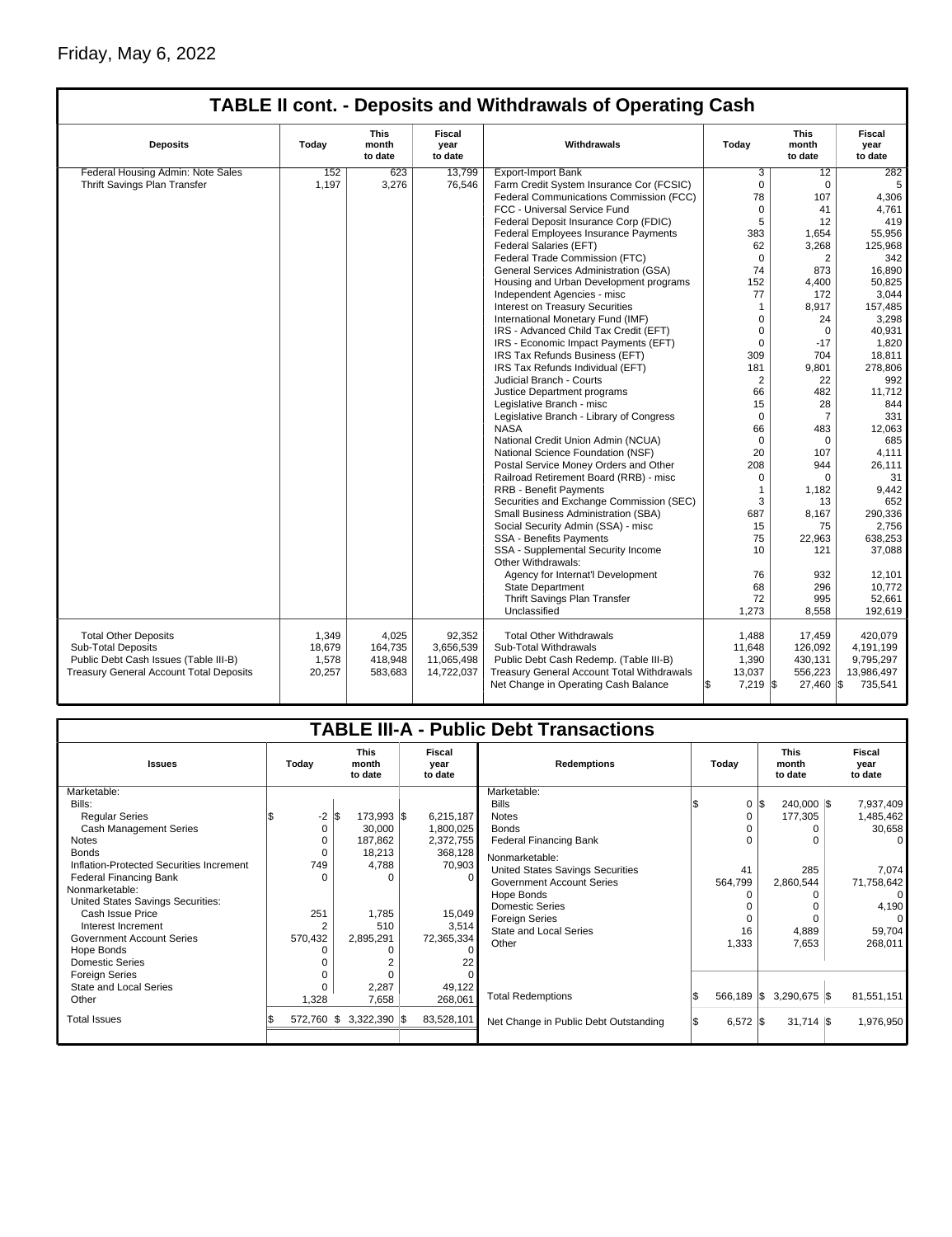## Friday, May 6, 2022

|                                                | <b>TABLE II cont. - Deposits and Withdrawals of Operating Cash</b> |                                 |                           |                                                   |                   |                                 |                                  |  |  |  |  |
|------------------------------------------------|--------------------------------------------------------------------|---------------------------------|---------------------------|---------------------------------------------------|-------------------|---------------------------------|----------------------------------|--|--|--|--|
| <b>Deposits</b>                                | Today                                                              | <b>This</b><br>month<br>to date | Fiscal<br>year<br>to date | Withdrawals                                       |                   | <b>This</b><br>month<br>to date | <b>Fiscal</b><br>year<br>to date |  |  |  |  |
| Federal Housing Admin: Note Sales              | 152                                                                | 623                             | 13.799                    | <b>Export-Import Bank</b>                         | 3                 | 12                              | 282                              |  |  |  |  |
| Thrift Savings Plan Transfer                   | 1,197                                                              | 3,276                           | 76,546                    | Farm Credit System Insurance Cor (FCSIC)          | $\Omega$          | $\Omega$                        | 5                                |  |  |  |  |
|                                                |                                                                    |                                 |                           | Federal Communications Commission (FCC)           | 78                | 107                             | 4,306                            |  |  |  |  |
|                                                |                                                                    |                                 |                           | FCC - Universal Service Fund                      | $\Omega$          | 41                              | 4,761                            |  |  |  |  |
|                                                |                                                                    |                                 |                           | Federal Deposit Insurance Corp (FDIC)             | 5                 | 12                              | 419                              |  |  |  |  |
|                                                |                                                                    |                                 |                           | <b>Federal Employees Insurance Payments</b>       | 383               | 1,654                           | 55,956                           |  |  |  |  |
|                                                |                                                                    |                                 |                           | Federal Salaries (EFT)                            | 62                | 3,268                           | 125,968                          |  |  |  |  |
|                                                |                                                                    |                                 |                           | Federal Trade Commission (FTC)                    | $\Omega$          | 2                               | 342                              |  |  |  |  |
|                                                |                                                                    |                                 |                           | General Services Administration (GSA)             | 74                | 873                             | 16.890                           |  |  |  |  |
|                                                |                                                                    |                                 |                           | Housing and Urban Development programs            | 152               | 4,400                           | 50,825                           |  |  |  |  |
|                                                |                                                                    |                                 |                           | Independent Agencies - misc                       | 77                | 172                             | 3,044                            |  |  |  |  |
|                                                |                                                                    |                                 |                           | <b>Interest on Treasury Securities</b>            | 1                 | 8,917                           | 157,485                          |  |  |  |  |
|                                                |                                                                    |                                 |                           | International Monetary Fund (IMF)                 | 0                 | 24                              | 3,298                            |  |  |  |  |
|                                                |                                                                    |                                 |                           | IRS - Advanced Child Tax Credit (EFT)             | $\mathbf 0$       | 0                               | 40,931                           |  |  |  |  |
|                                                |                                                                    |                                 |                           | IRS - Economic Impact Payments (EFT)              | 0                 | $-17$                           | 1,820                            |  |  |  |  |
|                                                |                                                                    |                                 |                           | IRS Tax Refunds Business (EFT)                    | 309               | 704                             | 18,811                           |  |  |  |  |
|                                                |                                                                    |                                 |                           | IRS Tax Refunds Individual (EFT)                  | 181               | 9,801                           | 278,806                          |  |  |  |  |
|                                                |                                                                    |                                 |                           | Judicial Branch - Courts                          | $\overline{2}$    | 22                              | 992                              |  |  |  |  |
|                                                |                                                                    |                                 |                           | Justice Department programs                       | 66                | 482                             | 11,712                           |  |  |  |  |
|                                                |                                                                    |                                 |                           | Legislative Branch - misc                         | 15                | 28                              | 844                              |  |  |  |  |
|                                                |                                                                    |                                 |                           | Legislative Branch - Library of Congress          | $\Omega$          | $\overline{7}$                  | 331                              |  |  |  |  |
|                                                |                                                                    |                                 |                           | <b>NASA</b>                                       | 66                | 483                             | 12,063                           |  |  |  |  |
|                                                |                                                                    |                                 |                           | National Credit Union Admin (NCUA)                | $\mathbf 0$       | 0                               | 685                              |  |  |  |  |
|                                                |                                                                    |                                 |                           | National Science Foundation (NSF)                 | 20                | 107                             | 4,111                            |  |  |  |  |
|                                                |                                                                    |                                 |                           | Postal Service Money Orders and Other             | 208               | 944                             | 26,111                           |  |  |  |  |
|                                                |                                                                    |                                 |                           | Railroad Retirement Board (RRB) - misc            | $\Omega$          | 0                               | 31                               |  |  |  |  |
|                                                |                                                                    |                                 |                           | RRB - Benefit Payments                            | 1                 | 1,182                           | 9,442                            |  |  |  |  |
|                                                |                                                                    |                                 |                           | Securities and Exchange Commission (SEC)          | 3                 | 13                              | 652                              |  |  |  |  |
|                                                |                                                                    |                                 |                           | Small Business Administration (SBA)               | 687               | 8,167                           | 290,336                          |  |  |  |  |
|                                                |                                                                    |                                 |                           | Social Security Admin (SSA) - misc                | 15                | 75                              | 2,756                            |  |  |  |  |
|                                                |                                                                    |                                 |                           | <b>SSA - Benefits Payments</b>                    | 75                | 22,963                          | 638,253                          |  |  |  |  |
|                                                |                                                                    |                                 |                           | SSA - Supplemental Security Income                | 10                | 121                             | 37,088                           |  |  |  |  |
|                                                |                                                                    |                                 |                           | Other Withdrawals:                                |                   |                                 |                                  |  |  |  |  |
|                                                |                                                                    |                                 |                           | Agency for Internat'l Development                 | 76                | 932                             | 12,101                           |  |  |  |  |
|                                                |                                                                    |                                 |                           | <b>State Department</b>                           | 68                | 296                             | 10,772                           |  |  |  |  |
|                                                |                                                                    |                                 |                           | Thrift Savings Plan Transfer                      | 72                | 995                             | 52,661                           |  |  |  |  |
|                                                |                                                                    |                                 |                           | Unclassified                                      | 1,273             | 8,558                           | 192,619                          |  |  |  |  |
|                                                |                                                                    |                                 |                           |                                                   |                   |                                 |                                  |  |  |  |  |
| <b>Total Other Deposits</b>                    | 1,349                                                              | 4,025                           | 92,352                    | <b>Total Other Withdrawals</b>                    | 1,488             | 17,459                          | 420,079                          |  |  |  |  |
| <b>Sub-Total Deposits</b>                      | 18,679                                                             | 164,735                         | 3.656.539                 | Sub-Total Withdrawals                             | 11,648            | 126.092                         | 4,191,199                        |  |  |  |  |
| Public Debt Cash Issues (Table III-B)          | 1,578                                                              | 418,948                         | 11,065,498                | Public Debt Cash Redemp. (Table III-B)            | 1,390             | 430,131                         | 9,795,297                        |  |  |  |  |
| <b>Treasury General Account Total Deposits</b> | 20,257                                                             | 583,683                         | 14,722,037                | <b>Treasury General Account Total Withdrawals</b> | 13,037            | 556,223                         | 13,986,497                       |  |  |  |  |
|                                                |                                                                    |                                 |                           | Net Change in Operating Cash Balance              | l\$<br>$7,219$ \$ | 27,460 \$                       | 735,541                          |  |  |  |  |

| <b>TABLE III-A - Public Debt Transactions</b>          |                |                                                              |  |                        |                                       |  |               |                                 |  |                           |
|--------------------------------------------------------|----------------|--------------------------------------------------------------|--|------------------------|---------------------------------------|--|---------------|---------------------------------|--|---------------------------|
| <b>Issues</b>                                          | Today          | <b>This</b><br>Fiscal<br>month<br>year<br>to date<br>to date |  |                        | <b>Redemptions</b>                    |  | Today         | <b>This</b><br>month<br>to date |  | Fiscal<br>year<br>to date |
| Marketable:<br>Bills:                                  |                |                                                              |  |                        | Marketable:<br><b>Bills</b>           |  | 0 IS          | $240.000$ $\text{S}$            |  | 7,937,409                 |
|                                                        |                | $-2$ $\sqrt{3}$<br>173,993 \$                                |  |                        | <b>Notes</b>                          |  |               |                                 |  |                           |
| <b>Regular Series</b><br><b>Cash Management Series</b> | 0              | 30,000                                                       |  | 6,215,187<br>1,800,025 | <b>Bonds</b>                          |  | 0<br>$\Omega$ | 177,305<br>0                    |  | 1,485,462                 |
| <b>Notes</b>                                           | 0              | 187,862                                                      |  |                        | <b>Federal Financing Bank</b>         |  | 0             | O                               |  | 30,658<br>0               |
| <b>Bonds</b>                                           | 0              | 18,213                                                       |  | 2,372,755<br>368,128   |                                       |  |               |                                 |  |                           |
| Inflation-Protected Securities Increment               | 749            | 4,788                                                        |  | 70,903                 | Nonmarketable:                        |  |               |                                 |  |                           |
| <b>Federal Financing Bank</b>                          |                |                                                              |  |                        | United States Savings Securities      |  | 41            | 285                             |  | 7,074                     |
| Nonmarketable:                                         |                |                                                              |  |                        | <b>Government Account Series</b>      |  | 564,799       | 2,860,544                       |  | 71,758,642                |
| United States Savings Securities:                      |                |                                                              |  |                        | Hope Bonds                            |  |               | ŋ                               |  | $\Omega$                  |
| Cash Issue Price                                       | 251            | 1,785                                                        |  | 15,049                 | <b>Domestic Series</b>                |  |               | O                               |  | 4,190                     |
| Interest Increment                                     | $\overline{2}$ | 510                                                          |  | 3,514                  | <b>Foreign Series</b>                 |  | $\Omega$      |                                 |  | $\Omega$                  |
| <b>Government Account Series</b>                       | 570,432        | 2,895,291                                                    |  | 72,365,334             | <b>State and Local Series</b>         |  | 16            | 4,889                           |  | 59,704                    |
| Hope Bonds                                             |                |                                                              |  |                        | Other                                 |  | 1,333         | 7,653                           |  | 268,011                   |
| <b>Domestic Series</b>                                 |                |                                                              |  |                        |                                       |  |               |                                 |  |                           |
| Foreign Series                                         |                |                                                              |  |                        |                                       |  |               |                                 |  |                           |
| State and Local Series                                 |                | 2,287                                                        |  | 49,122                 |                                       |  |               |                                 |  |                           |
| Other                                                  | 1,328          | 7,658                                                        |  | 268,061                | <b>Total Redemptions</b>              |  | 566,189 \$    | 3,290,675 \$                    |  | 81,551,151                |
| <b>Total Issues</b>                                    | 572,760 \$     | $3,322,390$ \$                                               |  | 83,528,101             | Net Change in Public Debt Outstanding |  | $6,572$ \$    | $31,714$ \\$                    |  | 1,976,950                 |
|                                                        |                |                                                              |  |                        |                                       |  |               |                                 |  |                           |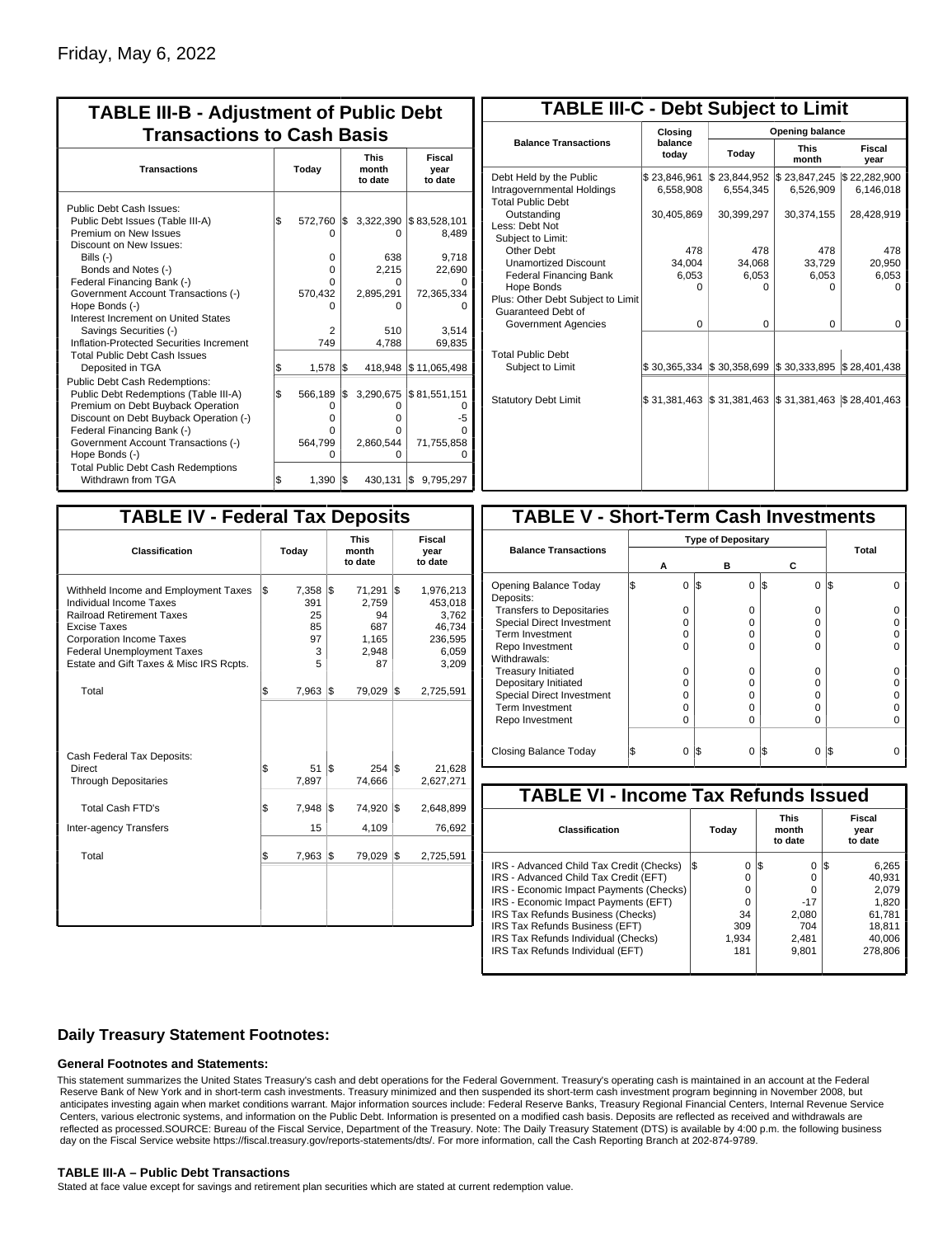| <b>TABLE III-B - Adjustment of Public Debt</b><br><b>Transactions to Cash Basis</b>                                                                                                                                                                                                                                                                                                                |           |                                                 |            |                                                                       |                                                                           |  |  |  |  |  |  |                                 |                           |
|----------------------------------------------------------------------------------------------------------------------------------------------------------------------------------------------------------------------------------------------------------------------------------------------------------------------------------------------------------------------------------------------------|-----------|-------------------------------------------------|------------|-----------------------------------------------------------------------|---------------------------------------------------------------------------|--|--|--|--|--|--|---------------------------------|---------------------------|
| <b>Transactions</b>                                                                                                                                                                                                                                                                                                                                                                                | Today     |                                                 |            |                                                                       |                                                                           |  |  |  |  |  |  | <b>This</b><br>month<br>to date | Fiscal<br>year<br>to date |
| Public Debt Cash Issues:<br>Public Debt Issues (Table III-A)<br>Premium on New Issues<br>Discount on New Issues:<br>Bills $(-)$<br>Bonds and Notes (-)<br>Federal Financing Bank (-)<br>Government Account Transactions (-)<br>Hope Bonds (-)<br>Interest Increment on United States<br>Savings Securities (-)<br>Inflation-Protected Securities Increment<br><b>Total Public Debt Cash Issues</b> | 1\$       | 572,760<br>0<br>0<br>0<br>570,432<br>2<br>749   | I\$        | 3,322,390<br>0<br>638<br>2.215<br>n<br>2,895,291<br>o<br>510<br>4,788 | \$83,528,101<br>8,489<br>9,718<br>22,690<br>72,365,334<br>3.514<br>69,835 |  |  |  |  |  |  |                                 |                           |
| Deposited in TGA<br><b>Public Debt Cash Redemptions:</b><br>Public Debt Redemptions (Table III-A)<br>Premium on Debt Buyback Operation<br>Discount on Debt Buyback Operation (-)<br>Federal Financing Bank (-)<br>Government Account Transactions (-)<br>Hope Bonds (-)<br><b>Total Public Debt Cash Redemptions</b>                                                                               | \$<br>l\$ | 1.578<br>566,189<br>0<br>O<br>O<br>564,799<br>O | l\$<br>1\$ | 418.948<br>3,290,675<br>O<br>o<br>o<br>2,860,544<br>o                 | \$11,065,498<br>\$81,551,151<br>-5<br>71,755,858                          |  |  |  |  |  |  |                                 |                           |
| Withdrawn from TGA                                                                                                                                                                                                                                                                                                                                                                                 |           | 1,390                                           | l\$        | 430,131                                                               | \$9,795,297                                                               |  |  |  |  |  |  |                                 |                           |

| <b>TABLE III-C - Debt Subject to Limit</b>                                        |                                                   |                           |                           |                           |  |  |  |  |  |
|-----------------------------------------------------------------------------------|---------------------------------------------------|---------------------------|---------------------------|---------------------------|--|--|--|--|--|
|                                                                                   | Closina                                           | Opening balance           |                           |                           |  |  |  |  |  |
| <b>Balance Transactions</b>                                                       | balance<br>todav                                  | Today                     | <b>This</b><br>month      | Fiscal<br>year            |  |  |  |  |  |
| Debt Held by the Public<br>Intragovernmental Holdings<br><b>Total Public Debt</b> | \$23,846,961<br>6,558,908                         | \$23,844,952<br>6,554,345 | \$23,847,245<br>6,526,909 | \$22,282,900<br>6,146,018 |  |  |  |  |  |
| Outstanding<br>Less: Debt Not<br>Subject to Limit:                                | 30,405,869                                        | 30,399,297                | 30,374,155                | 28,428,919                |  |  |  |  |  |
| Other Debt                                                                        | 478                                               | 478                       | 478                       | 478                       |  |  |  |  |  |
| <b>Unamortized Discount</b>                                                       | 34.004                                            | 34.068                    | 33,729                    | 20,950                    |  |  |  |  |  |
| <b>Federal Financing Bank</b>                                                     | 6,053                                             | 6,053                     | 6,053                     | 6,053                     |  |  |  |  |  |
| Hope Bonds                                                                        | $\Omega$                                          | O                         | 0                         | n                         |  |  |  |  |  |
| Plus: Other Debt Subject to Limit<br>Guaranteed Debt of                           |                                                   |                           |                           |                           |  |  |  |  |  |
| Government Agencies                                                               | $\Omega$                                          | $\Omega$                  | 0                         | $\Omega$                  |  |  |  |  |  |
| <b>Total Public Debt</b><br>Subject to Limit                                      | $\frac{1}{3}$ 30,365,334 $\frac{1}{3}$ 30,358,699 |                           | \$30,333,895              | \$28,401,438              |  |  |  |  |  |
|                                                                                   |                                                   |                           |                           |                           |  |  |  |  |  |
| <b>Statutory Debt Limit</b>                                                       | \$31,381,463 \$31,381,463                         |                           | \$31,381,463              | \$28,401,463              |  |  |  |  |  |
|                                                                                   |                                                   |                           |                           |                           |  |  |  |  |  |

| <b>TABLE IV - Federal Tax Deposits</b>                                                                                                                                                                                                               |     |                                          |     |                                                      |     |                                                                      |  |  |  |
|------------------------------------------------------------------------------------------------------------------------------------------------------------------------------------------------------------------------------------------------------|-----|------------------------------------------|-----|------------------------------------------------------|-----|----------------------------------------------------------------------|--|--|--|
| <b>Classification</b>                                                                                                                                                                                                                                |     | Today                                    |     | <b>This</b><br>month<br>to date                      |     | Fiscal<br>year<br>to date                                            |  |  |  |
| Withheld Income and Employment Taxes<br><b>Individual Income Taxes</b><br><b>Railroad Retirement Taxes</b><br><b>Excise Taxes</b><br><b>Corporation Income Taxes</b><br><b>Federal Unemployment Taxes</b><br>Estate and Gift Taxes & Misc IRS Rcpts. | \$  | 7,358<br>391<br>25<br>85<br>97<br>3<br>5 | l\$ | 71,291<br>2,759<br>94<br>687<br>1,165<br>2,948<br>87 | l\$ | 1,976,213<br>453,018<br>3,762<br>46,734<br>236,595<br>6,059<br>3,209 |  |  |  |
| Total                                                                                                                                                                                                                                                | \$  | 7,963                                    | 1\$ | 79,029                                               | 1\$ | 2,725,591                                                            |  |  |  |
| Cash Federal Tax Deposits:<br>Direct<br><b>Through Depositaries</b>                                                                                                                                                                                  | \$  | 51<br>7,897                              | I\$ | $254$ $\sqrt{5}$<br>74,666                           |     | 21.628<br>2,627,271                                                  |  |  |  |
| <b>Total Cash FTD's</b>                                                                                                                                                                                                                              | Ŝ.  | 7,948                                    | l\$ | 74,920                                               | l\$ | 2,648,899                                                            |  |  |  |
| <b>Inter-agency Transfers</b><br>Total                                                                                                                                                                                                               | l\$ | 15<br>7,963                              | 1\$ | 4,109<br>79,029                                      | 1\$ | 76,692<br>2,725,591                                                  |  |  |  |
|                                                                                                                                                                                                                                                      |     |                                          |     |                                                      |     |                                                                      |  |  |  |

| <b>TABLE V - Short-Term Cash Investments</b> |                           |     |          |                 |       |  |  |  |  |
|----------------------------------------------|---------------------------|-----|----------|-----------------|-------|--|--|--|--|
|                                              | <b>Type of Depositary</b> |     |          |                 |       |  |  |  |  |
| <b>Balance Transactions</b>                  |                           |     |          |                 | Total |  |  |  |  |
|                                              | А                         |     | в        | С               |       |  |  |  |  |
| Opening Balance Today<br>Deposits:           | 0                         | l\$ | 0        | 1\$<br>0        | 13    |  |  |  |  |
| <b>Transfers to Depositaries</b>             | 0                         |     | 0        | 0               |       |  |  |  |  |
| <b>Special Direct Investment</b>             | O                         |     | O        | $\Omega$        |       |  |  |  |  |
| Term Investment                              | O                         |     | O        | 0               |       |  |  |  |  |
| Repo Investment                              | O                         |     | $\Omega$ | $\Omega$        |       |  |  |  |  |
| Withdrawals:                                 |                           |     |          |                 |       |  |  |  |  |
| <b>Treasury Initiated</b>                    | O                         |     | 0        | 0               |       |  |  |  |  |
| Depositary Initiated                         | O                         |     | O        | 0               |       |  |  |  |  |
| Special Direct Investment                    | O                         |     | O        | 0               |       |  |  |  |  |
| <b>Term Investment</b>                       | Ω                         |     | 0        | 0               |       |  |  |  |  |
| Repo Investment                              | O                         |     | O        | 0               |       |  |  |  |  |
|                                              |                           |     |          |                 |       |  |  |  |  |
| Closing Balance Today                        | 0                         | I\$ | $\Omega$ | I\$<br>$\Omega$ | I\$   |  |  |  |  |

| <b>TABLE VI - Income Tax Refunds Issued</b> |     |       |                                 |       |     |                           |  |  |  |
|---------------------------------------------|-----|-------|---------------------------------|-------|-----|---------------------------|--|--|--|
| Classification                              |     | Today | <b>This</b><br>month<br>to date |       |     | Fiscal<br>year<br>to date |  |  |  |
| IRS - Advanced Child Tax Credit (Checks)    | l\$ | 0     | 1\$                             | 0     | 125 | 6,265                     |  |  |  |
| IRS - Advanced Child Tax Credit (EFT)       |     | 0     |                                 | 0     |     | 40.931                    |  |  |  |
| IRS - Economic Impact Payments (Checks)     |     | 0     |                                 | 0     |     | 2.079                     |  |  |  |
| IRS - Economic Impact Payments (EFT)        |     | 0     |                                 | $-17$ |     | 1,820                     |  |  |  |
| IRS Tax Refunds Business (Checks)           |     | 34    |                                 | 2.080 |     | 61.781                    |  |  |  |
| IRS Tax Refunds Business (EFT)              |     | 309   |                                 | 704   |     | 18,811                    |  |  |  |
| IRS Tax Refunds Individual (Checks)         |     | 1.934 |                                 | 2,481 |     | 40.006                    |  |  |  |
| IRS Tax Refunds Individual (EFT)            |     | 181   |                                 | 9,801 |     | 278.806                   |  |  |  |
|                                             |     |       |                                 |       |     |                           |  |  |  |

## **Daily Treasury Statement Footnotes:**

#### **General Footnotes and Statements:**

This statement summarizes the United States Treasury's cash and debt operations for the Federal Government. Treasury's operating cash is maintained in an account at the Federal Reserve Bank of New York and in short-term cash investments. Treasury minimized and then suspended its short-term cash investment program beginning in November 2008, but anticipates investing again when market conditions warrant. Major information sources include: Federal Reserve Banks, Treasury Regional Financial Centers, Internal Revenue Service Centers, various electronic systems, and information on the Public Debt. Information is presented on a modified cash basis. Deposits are reflected as received and withdrawals are reflected as processed.SOURCE: Bureau of the Fiscal Service, Department of the Treasury. Note: The Daily Treasury Statement (DTS) is available by 4:00 p.m. the following business day on the Fiscal Service website https://fiscal.treasury.gov/reports-statements/dts/. For more information, call the Cash Reporting Branch at 202-874-9789.

### **TABLE III-A – Public Debt Transactions**

Stated at face value except for savings and retirement plan securities which are stated at current redemption value.